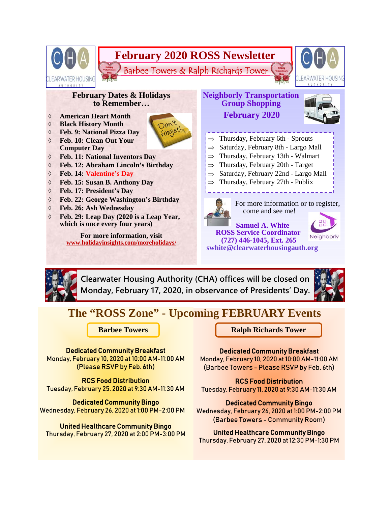

**Clearwater Housing Authority (CHA) offices will be closed on Monday, February 17, 2020, in observance of Presidents' Day.** 



# **The "ROSS Zone" - Upcoming FEBRUARY Events**

Dedicated Community Breakfast

Monday, February 10, 2020 at 10:00 AM-11:00 AM (Please RSVP by Feb. 6th)

RCS Food Distribution Tuesday, February 25, 2020 at 9:30 AM-11:30 AM

Dedicated Community Bingo Wednesday, February 26, 2020 at 1:00 PM-2:00 PM

United Healthcare Community Bingo Thursday, February 27, 2020 at 2:00 PM-3:00 PM

**Barbee Towers Ralph Richards Tower** 

## Dedicated Community Breakfast

Monday, February 10, 2020 at 10:00 AM-11:00 AM (Barbee Towers - Please RSVP by Feb. 6th)

RCS Food Distribution Tuesday, February 11, 2020 at 9:30 AM-11:30 AM

#### Dedicated Community Bingo

Wednesday, February 26, 2020 at 1:00 PM-2:00 PM (Barbee Towers - Community Room)

## United Healthcare Community Bingo

Thursday, February 27, 2020 at 12:30 PM-1:30 PM